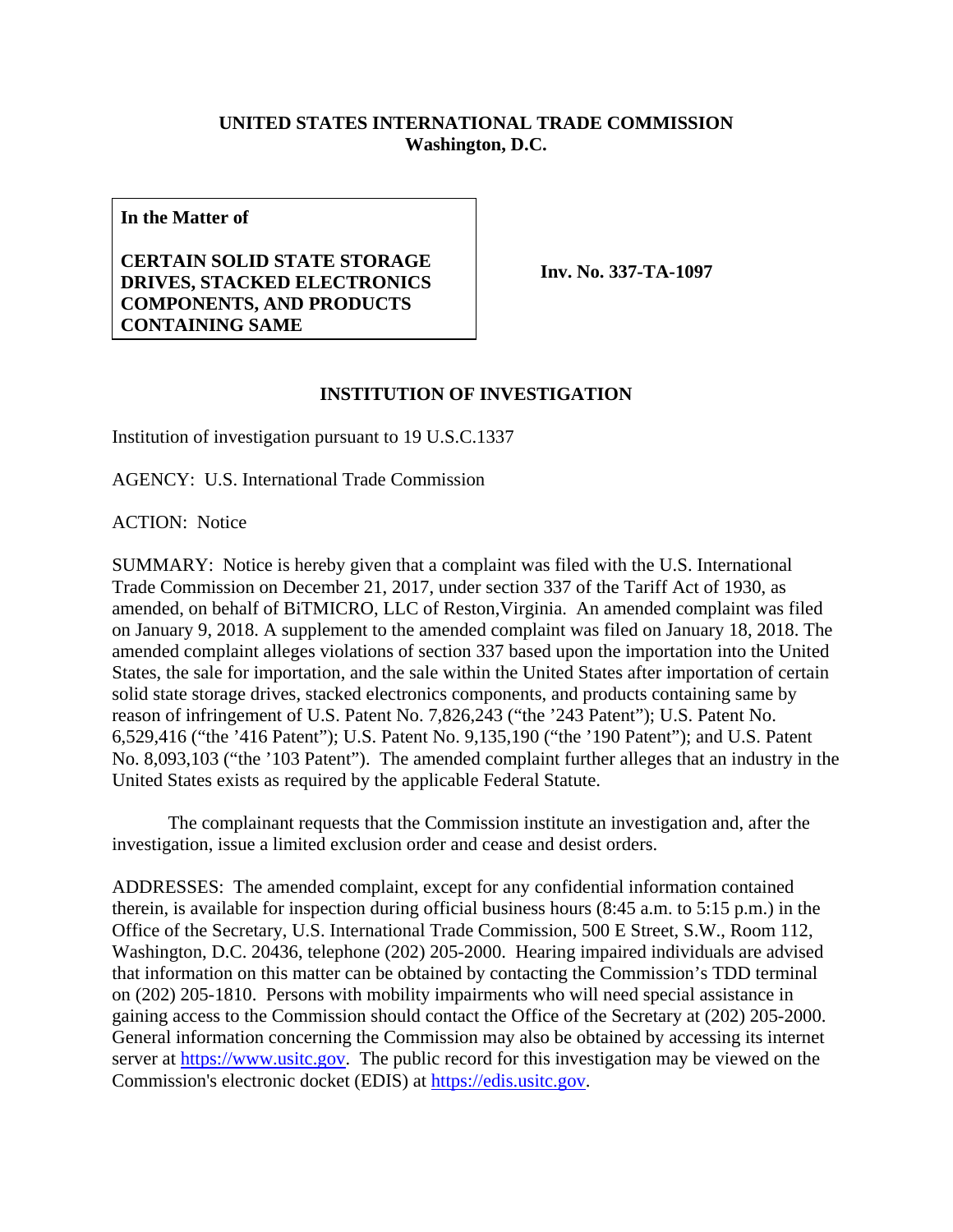## **UNITED STATES INTERNATIONAL TRADE COMMISSION Washington, D.C.**

**In the Matter of** 

## **CERTAIN SOLID STATE STORAGE DRIVES, STACKED ELECTRONICS COMPONENTS, AND PRODUCTS CONTAINING SAME**

**Inv. No. 337-TA-1097**

## **INSTITUTION OF INVESTIGATION**

Institution of investigation pursuant to 19 U.S.C.1337

AGENCY: U.S. International Trade Commission

ACTION: Notice

SUMMARY: Notice is hereby given that a complaint was filed with the U.S. International Trade Commission on December 21, 2017, under section 337 of the Tariff Act of 1930, as amended, on behalf of BiTMICRO, LLC of Reston,Virginia. An amended complaint was filed on January 9, 2018. A supplement to the amended complaint was filed on January 18, 2018. The amended complaint alleges violations of section 337 based upon the importation into the United States, the sale for importation, and the sale within the United States after importation of certain solid state storage drives, stacked electronics components, and products containing same by reason of infringement of U.S. Patent No. 7,826,243 ("the '243 Patent"); U.S. Patent No. 6,529,416 ("the '416 Patent"); U.S. Patent No. 9,135,190 ("the '190 Patent"); and U.S. Patent No. 8,093,103 ("the '103 Patent"). The amended complaint further alleges that an industry in the United States exists as required by the applicable Federal Statute.

 The complainant requests that the Commission institute an investigation and, after the investigation, issue a limited exclusion order and cease and desist orders.

ADDRESSES: The amended complaint, except for any confidential information contained therein, is available for inspection during official business hours (8:45 a.m. to 5:15 p.m.) in the Office of the Secretary, U.S. International Trade Commission, 500 E Street, S.W., Room 112, Washington, D.C. 20436, telephone (202) 205-2000. Hearing impaired individuals are advised that information on this matter can be obtained by contacting the Commission's TDD terminal on (202) 205-1810. Persons with mobility impairments who will need special assistance in gaining access to the Commission should contact the Office of the Secretary at (202) 205-2000. General information concerning the Commission may also be obtained by accessing its internet server at https://www.usitc.gov. The public record for this investigation may be viewed on the Commission's electronic docket (EDIS) at https://edis.usitc.gov.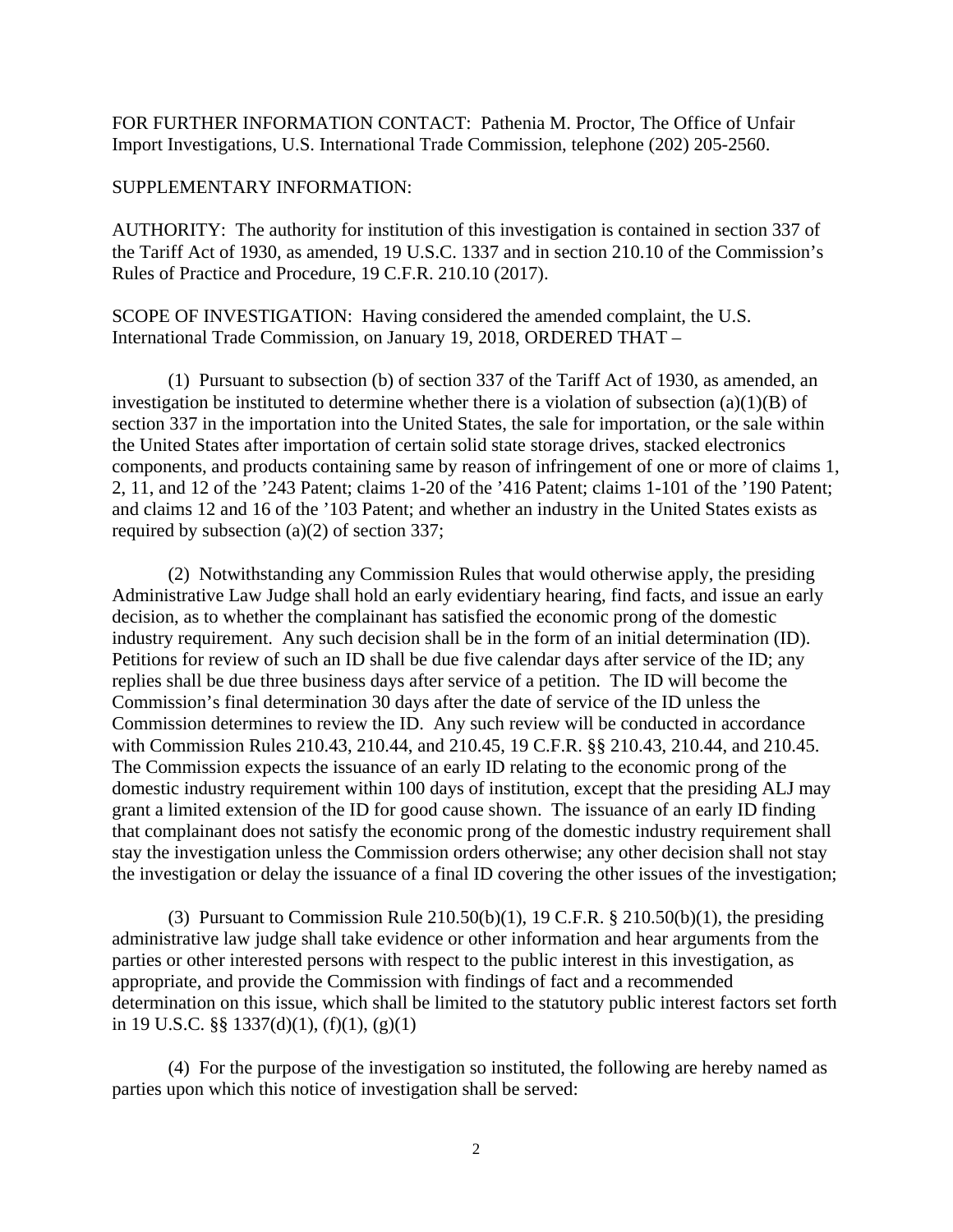FOR FURTHER INFORMATION CONTACT: Pathenia M. Proctor, The Office of Unfair Import Investigations, U.S. International Trade Commission, telephone (202) 205-2560.

## SUPPLEMENTARY INFORMATION:

AUTHORITY: The authority for institution of this investigation is contained in section 337 of the Tariff Act of 1930, as amended, 19 U.S.C. 1337 and in section 210.10 of the Commission's Rules of Practice and Procedure, 19 C.F.R. 210.10 (2017).

SCOPE OF INVESTIGATION: Having considered the amended complaint, the U.S. International Trade Commission, on January 19, 2018, ORDERED THAT –

 (1) Pursuant to subsection (b) of section 337 of the Tariff Act of 1930, as amended, an investigation be instituted to determine whether there is a violation of subsection  $(a)(1)(B)$  of section 337 in the importation into the United States, the sale for importation, or the sale within the United States after importation of certain solid state storage drives, stacked electronics components, and products containing same by reason of infringement of one or more of claims 1, 2, 11, and 12 of the '243 Patent; claims 1-20 of the '416 Patent; claims 1-101 of the '190 Patent; and claims 12 and 16 of the '103 Patent; and whether an industry in the United States exists as required by subsection (a)(2) of section 337;

(2) Notwithstanding any Commission Rules that would otherwise apply, the presiding Administrative Law Judge shall hold an early evidentiary hearing, find facts, and issue an early decision, as to whether the complainant has satisfied the economic prong of the domestic industry requirement. Any such decision shall be in the form of an initial determination (ID). Petitions for review of such an ID shall be due five calendar days after service of the ID; any replies shall be due three business days after service of a petition. The ID will become the Commission's final determination 30 days after the date of service of the ID unless the Commission determines to review the ID. Any such review will be conducted in accordance with Commission Rules 210.43, 210.44, and 210.45, 19 C.F.R. §§ 210.43, 210.44, and 210.45. The Commission expects the issuance of an early ID relating to the economic prong of the domestic industry requirement within 100 days of institution, except that the presiding ALJ may grant a limited extension of the ID for good cause shown. The issuance of an early ID finding that complainant does not satisfy the economic prong of the domestic industry requirement shall stay the investigation unless the Commission orders otherwise; any other decision shall not stay the investigation or delay the issuance of a final ID covering the other issues of the investigation;

(3) Pursuant to Commission Rule  $210.50(b)(1)$ , 19 C.F.R. §  $210.50(b)(1)$ , the presiding administrative law judge shall take evidence or other information and hear arguments from the parties or other interested persons with respect to the public interest in this investigation, as appropriate, and provide the Commission with findings of fact and a recommended determination on this issue, which shall be limited to the statutory public interest factors set forth in 19 U.S.C.  $\S$ § 1337(d)(1), (f)(1), (g)(1)

 (4) For the purpose of the investigation so instituted, the following are hereby named as parties upon which this notice of investigation shall be served: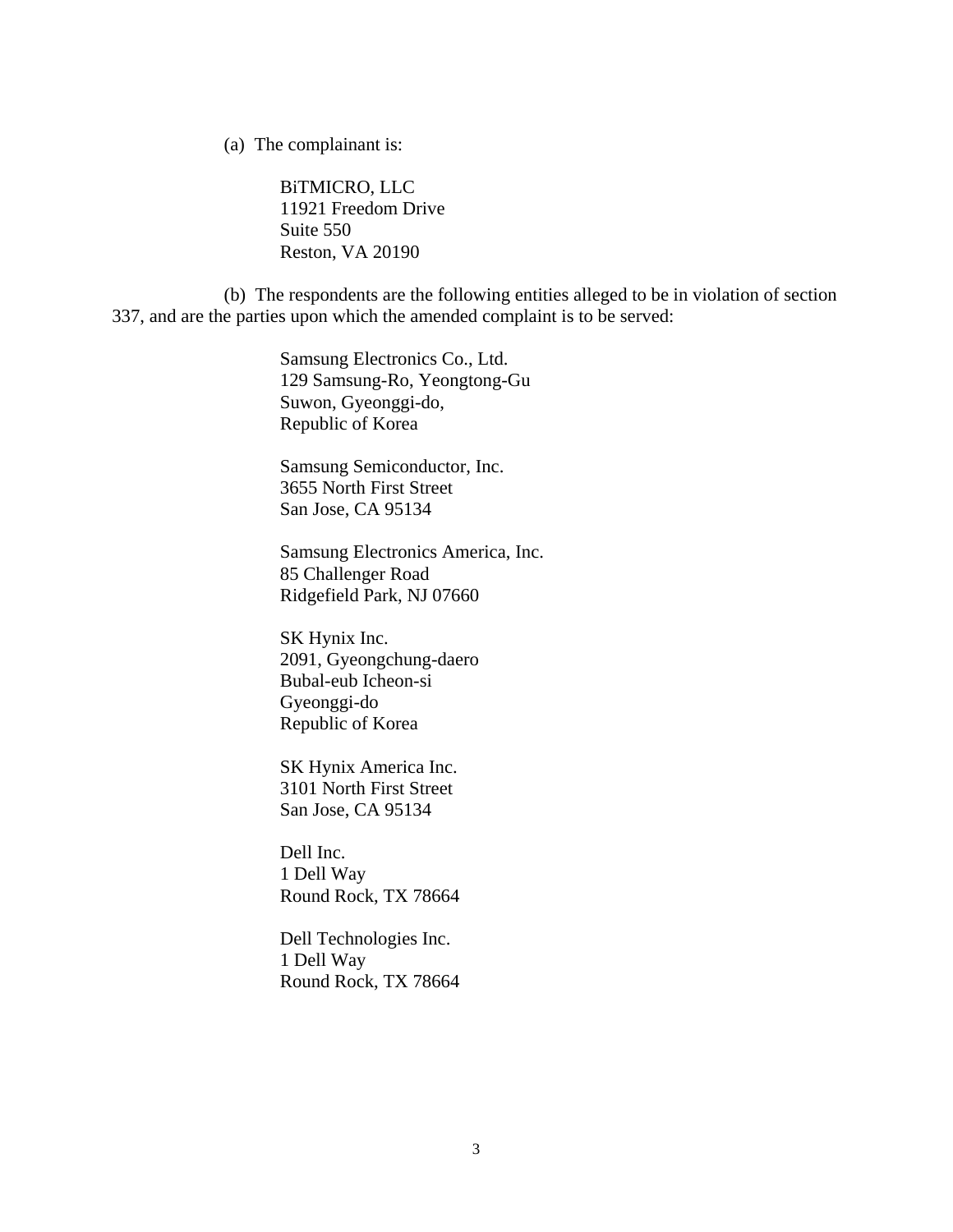(a) The complainant is:

BiTMICRO, LLC 11921 Freedom Drive Suite 550 Reston, VA 20190

 (b) The respondents are the following entities alleged to be in violation of section 337, and are the parties upon which the amended complaint is to be served:

> Samsung Electronics Co., Ltd. 129 Samsung-Ro, Yeongtong-Gu Suwon, Gyeonggi-do, Republic of Korea

 Samsung Semiconductor, Inc. 3655 North First Street San Jose, CA 95134

 Samsung Electronics America, Inc. 85 Challenger Road Ridgefield Park, NJ 07660

 SK Hynix Inc. 2091, Gyeongchung-daero Bubal-eub Icheon-si Gyeonggi-do Republic of Korea

 SK Hynix America Inc. 3101 North First Street San Jose, CA 95134

 Dell Inc. 1 Dell Way Round Rock, TX 78664

 Dell Technologies Inc. 1 Dell Way Round Rock, TX 78664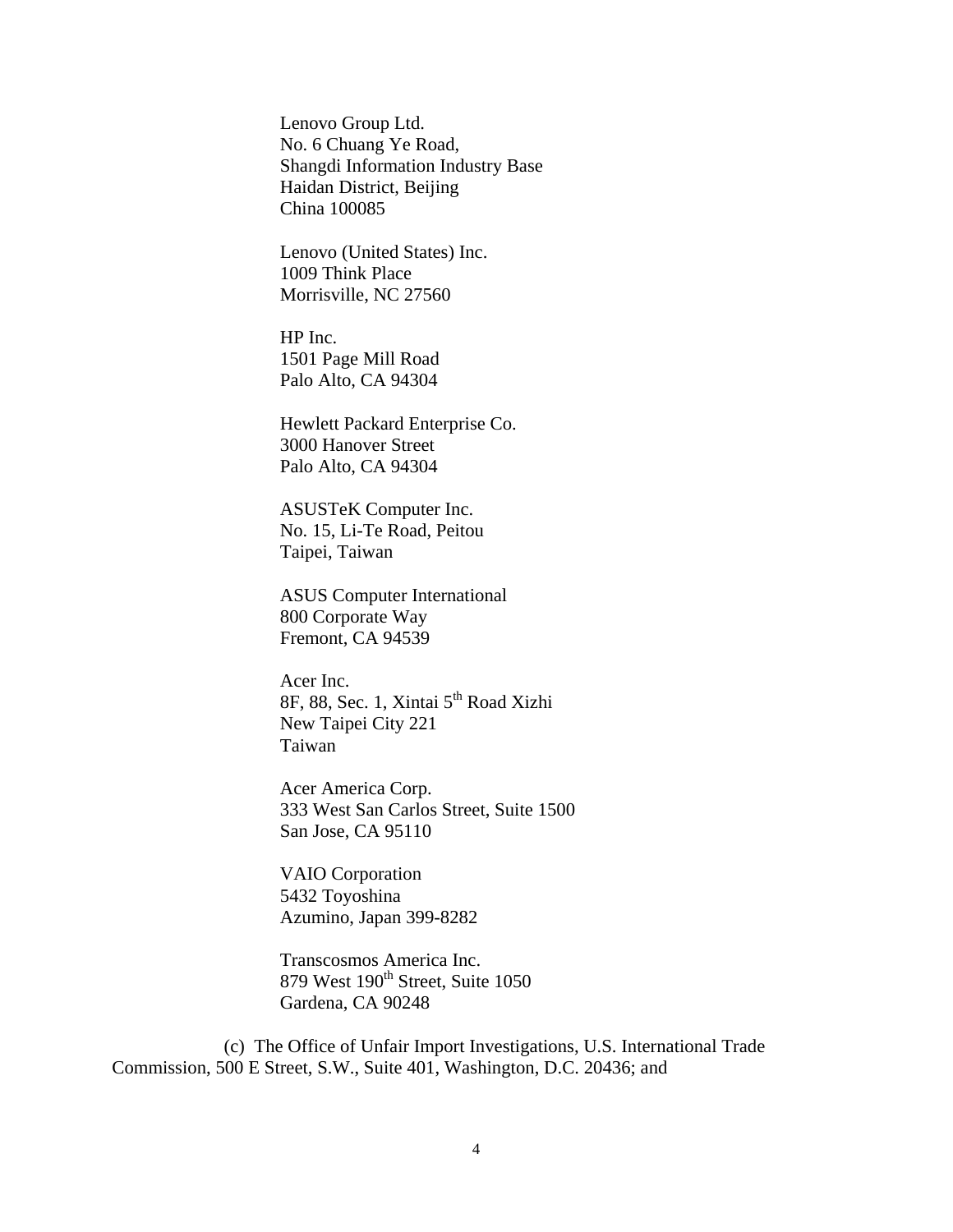Lenovo Group Ltd. No. 6 Chuang Ye Road, Shangdi Information Industry Base Haidan District, Beijing China 100085

 Lenovo (United States) Inc. 1009 Think Place Morrisville, NC 27560

 HP Inc. 1501 Page Mill Road Palo Alto, CA 94304

 Hewlett Packard Enterprise Co. 3000 Hanover Street Palo Alto, CA 94304

 ASUSTeK Computer Inc. No. 15, Li-Te Road, Peitou Taipei, Taiwan

 ASUS Computer International 800 Corporate Way Fremont, CA 94539

 Acer Inc. 8F, 88, Sec. 1, Xintai 5th Road Xizhi New Taipei City 221 Taiwan

 Acer America Corp. 333 West San Carlos Street, Suite 1500 San Jose, CA 95110

 VAIO Corporation 5432 Toyoshina Azumino, Japan 399-8282

 Transcosmos America Inc. 879 West 190<sup>th</sup> Street, Suite 1050 Gardena, CA 90248

 (c) The Office of Unfair Import Investigations, U.S. International Trade Commission, 500 E Street, S.W., Suite 401, Washington, D.C. 20436; and